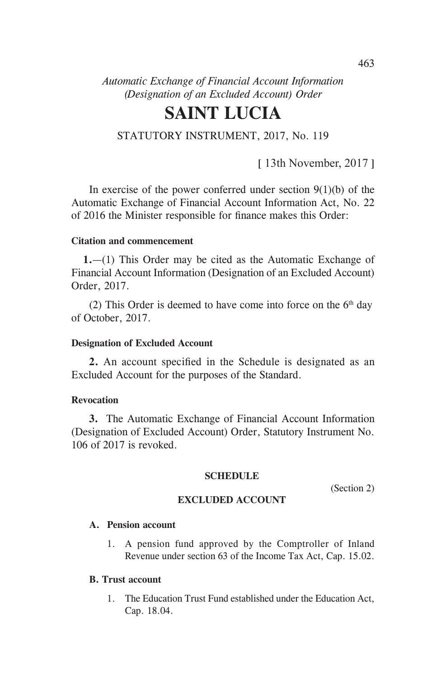*Automatic Exchange of Financial Account Information (Designation of an Excluded Account) Order* 

# **SAINT LUCIA**

## STATUTORY INSTRUMENT, 2017, No. 119

[ 13th November, 2017 ]

In exercise of the power conferred under section  $9(1)(b)$  of the Automatic Exchange of Financial Account Information Act, No. 22 of 2016 the Minister responsible for finance makes this Order:

#### **Citation and commencement**

**1.**—(1) This Order may be cited as the Automatic Exchange of Financial Account Information (Designation of an Excluded Account) Order, 2017.

(2) This Order is deemed to have come into force on the  $6<sup>th</sup>$  day of October, 2017.

#### **Designation of Excluded Account**

**2.** An account specified in the Schedule is designated as an Excluded Account for the purposes of the Standard.

#### **Revocation**

**3.** The Automatic Exchange of Financial Account Information (Designation of Excluded Account) Order, Statutory Instrument No. 106 of 2017 is revoked.

#### **SCHEDULE**

(Section 2)

### **EXCLUDED ACCOUNT**

#### **A. Pension account**

1. A pension fund approved by the Comptroller of Inland Revenue under section 63 of the Income Tax Act, Cap. 15.02.

#### **B. Trust account**

1. The Education Trust Fund established under the Education Act, Cap. 18.04.

463